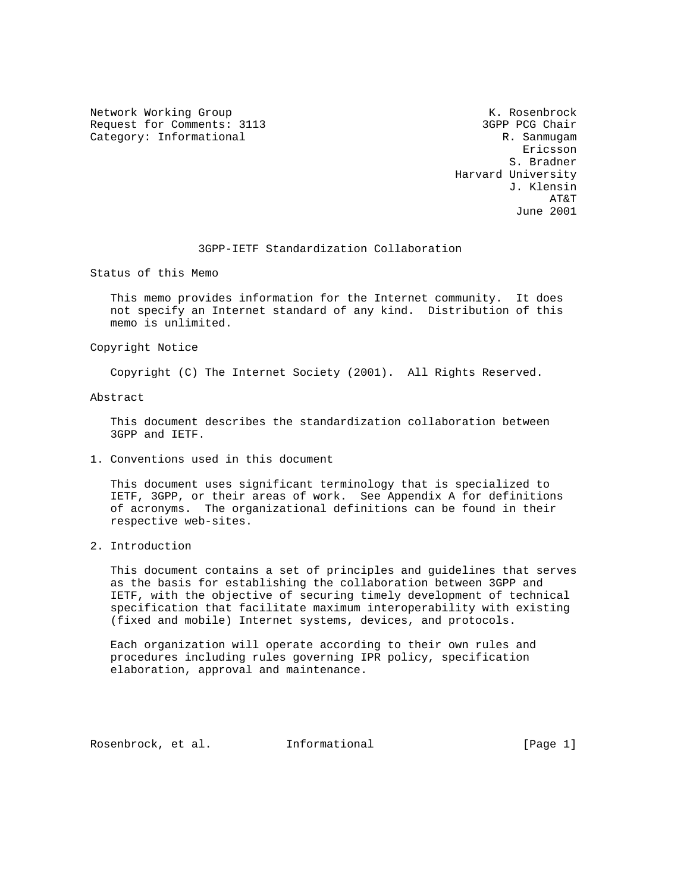Network Working Group Network Working Group Network K. Rosenbrock Request for Comments: 3113 3GPP PCG Chair Category: Informational R. Sanmugam

eric and the contract of the contract of the contract of the contract of the contract of the contract of the contract of the contract of the contract of the contract of the contract of the contract of the contract of the c S. Bradner Harvard University J. Klensin AT&T June 2001

3GPP-IETF Standardization Collaboration

Status of this Memo

 This memo provides information for the Internet community. It does not specify an Internet standard of any kind. Distribution of this memo is unlimited.

Copyright Notice

Copyright (C) The Internet Society (2001). All Rights Reserved.

Abstract

 This document describes the standardization collaboration between 3GPP and IETF.

1. Conventions used in this document

 This document uses significant terminology that is specialized to IETF, 3GPP, or their areas of work. See Appendix A for definitions of acronyms. The organizational definitions can be found in their respective web-sites.

2. Introduction

 This document contains a set of principles and guidelines that serves as the basis for establishing the collaboration between 3GPP and IETF, with the objective of securing timely development of technical specification that facilitate maximum interoperability with existing (fixed and mobile) Internet systems, devices, and protocols.

 Each organization will operate according to their own rules and procedures including rules governing IPR policy, specification elaboration, approval and maintenance.

Rosenbrock, et al. Informational [Page 1]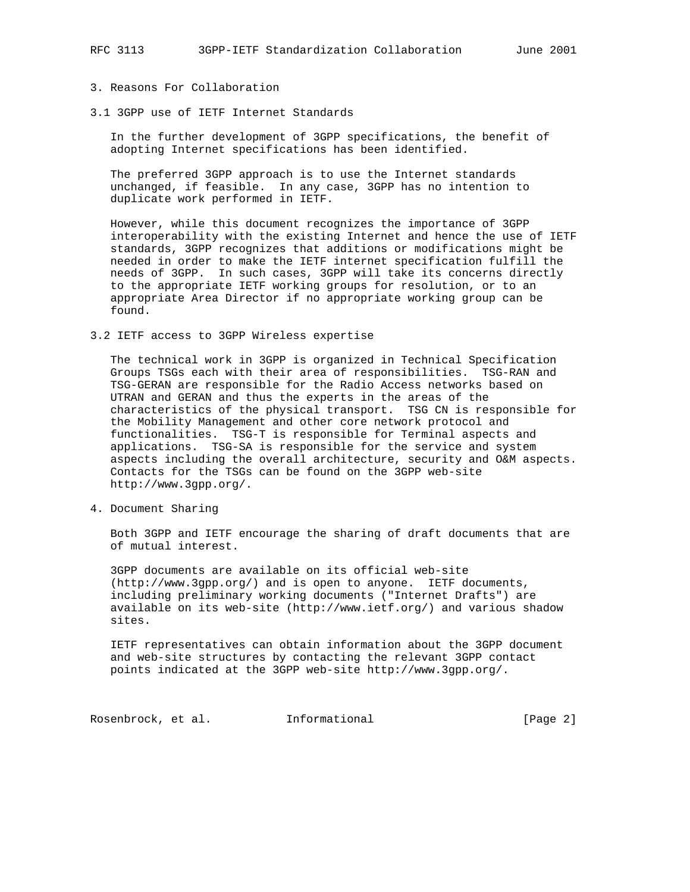## 3. Reasons For Collaboration

3.1 3GPP use of IETF Internet Standards

 In the further development of 3GPP specifications, the benefit of adopting Internet specifications has been identified.

 The preferred 3GPP approach is to use the Internet standards unchanged, if feasible. In any case, 3GPP has no intention to duplicate work performed in IETF.

 However, while this document recognizes the importance of 3GPP interoperability with the existing Internet and hence the use of IETF standards, 3GPP recognizes that additions or modifications might be needed in order to make the IETF internet specification fulfill the needs of 3GPP. In such cases, 3GPP will take its concerns directly to the appropriate IETF working groups for resolution, or to an appropriate Area Director if no appropriate working group can be found.

3.2 IETF access to 3GPP Wireless expertise

 The technical work in 3GPP is organized in Technical Specification Groups TSGs each with their area of responsibilities. TSG-RAN and TSG-GERAN are responsible for the Radio Access networks based on UTRAN and GERAN and thus the experts in the areas of the characteristics of the physical transport. TSG CN is responsible for the Mobility Management and other core network protocol and functionalities. TSG-T is responsible for Terminal aspects and applications. TSG-SA is responsible for the service and system aspects including the overall architecture, security and O&M aspects. Contacts for the TSGs can be found on the 3GPP web-site http://www.3gpp.org/.

4. Document Sharing

 Both 3GPP and IETF encourage the sharing of draft documents that are of mutual interest.

 3GPP documents are available on its official web-site (http://www.3gpp.org/) and is open to anyone. IETF documents, including preliminary working documents ("Internet Drafts") are available on its web-site (http://www.ietf.org/) and various shadow sites.

 IETF representatives can obtain information about the 3GPP document and web-site structures by contacting the relevant 3GPP contact points indicated at the 3GPP web-site http://www.3gpp.org/.

Rosenbrock, et al. 1nformational [Page 2]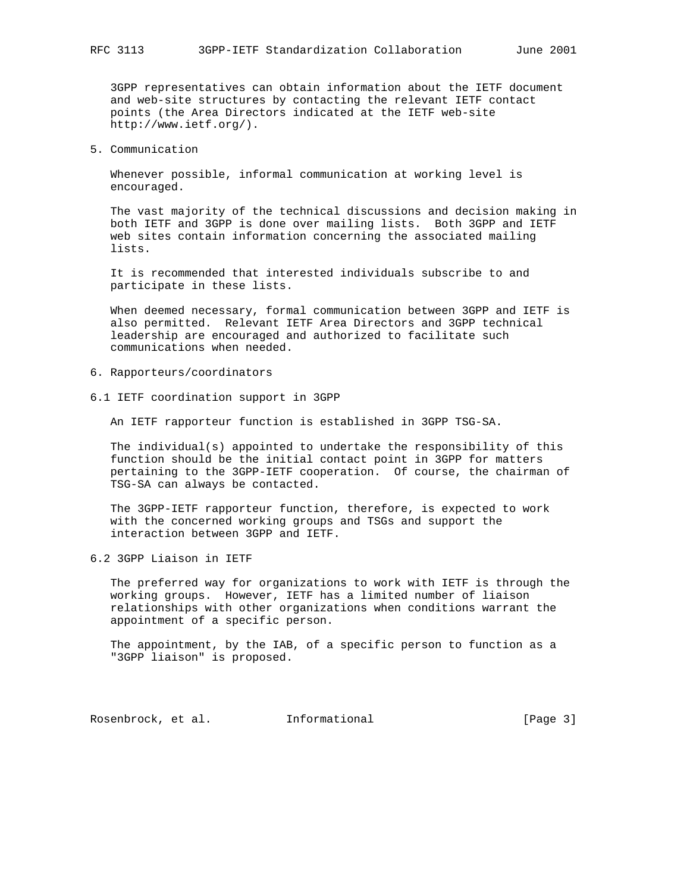3GPP representatives can obtain information about the IETF document and web-site structures by contacting the relevant IETF contact points (the Area Directors indicated at the IETF web-site http://www.ietf.org/).

5. Communication

 Whenever possible, informal communication at working level is encouraged.

 The vast majority of the technical discussions and decision making in both IETF and 3GPP is done over mailing lists. Both 3GPP and IETF web sites contain information concerning the associated mailing lists.

 It is recommended that interested individuals subscribe to and participate in these lists.

 When deemed necessary, formal communication between 3GPP and IETF is also permitted. Relevant IETF Area Directors and 3GPP technical leadership are encouraged and authorized to facilitate such communications when needed.

- 6. Rapporteurs/coordinators
- 6.1 IETF coordination support in 3GPP

An IETF rapporteur function is established in 3GPP TSG-SA.

 The individual(s) appointed to undertake the responsibility of this function should be the initial contact point in 3GPP for matters pertaining to the 3GPP-IETF cooperation. Of course, the chairman of TSG-SA can always be contacted.

 The 3GPP-IETF rapporteur function, therefore, is expected to work with the concerned working groups and TSGs and support the interaction between 3GPP and IETF.

6.2 3GPP Liaison in IETF

 The preferred way for organizations to work with IETF is through the working groups. However, IETF has a limited number of liaison relationships with other organizations when conditions warrant the appointment of a specific person.

 The appointment, by the IAB, of a specific person to function as a "3GPP liaison" is proposed.

Rosenbrock, et al. Informational [Page 3]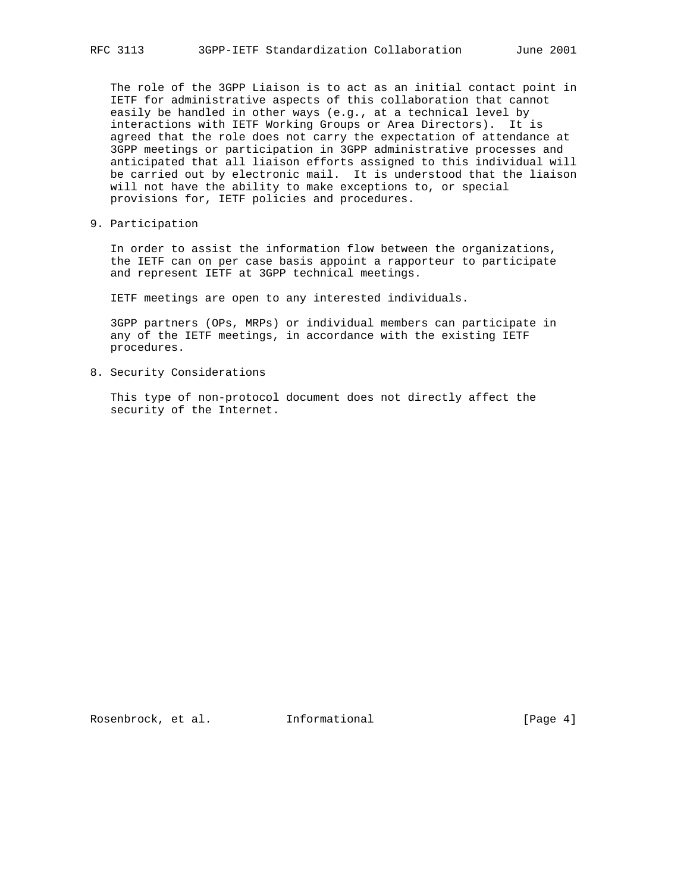The role of the 3GPP Liaison is to act as an initial contact point in IETF for administrative aspects of this collaboration that cannot easily be handled in other ways (e.g., at a technical level by interactions with IETF Working Groups or Area Directors). It is agreed that the role does not carry the expectation of attendance at 3GPP meetings or participation in 3GPP administrative processes and anticipated that all liaison efforts assigned to this individual will be carried out by electronic mail. It is understood that the liaison will not have the ability to make exceptions to, or special provisions for, IETF policies and procedures.

9. Participation

 In order to assist the information flow between the organizations, the IETF can on per case basis appoint a rapporteur to participate and represent IETF at 3GPP technical meetings.

IETF meetings are open to any interested individuals.

 3GPP partners (OPs, MRPs) or individual members can participate in any of the IETF meetings, in accordance with the existing IETF procedures.

8. Security Considerations

 This type of non-protocol document does not directly affect the security of the Internet.

Rosenbrock, et al. Informational [Page 4]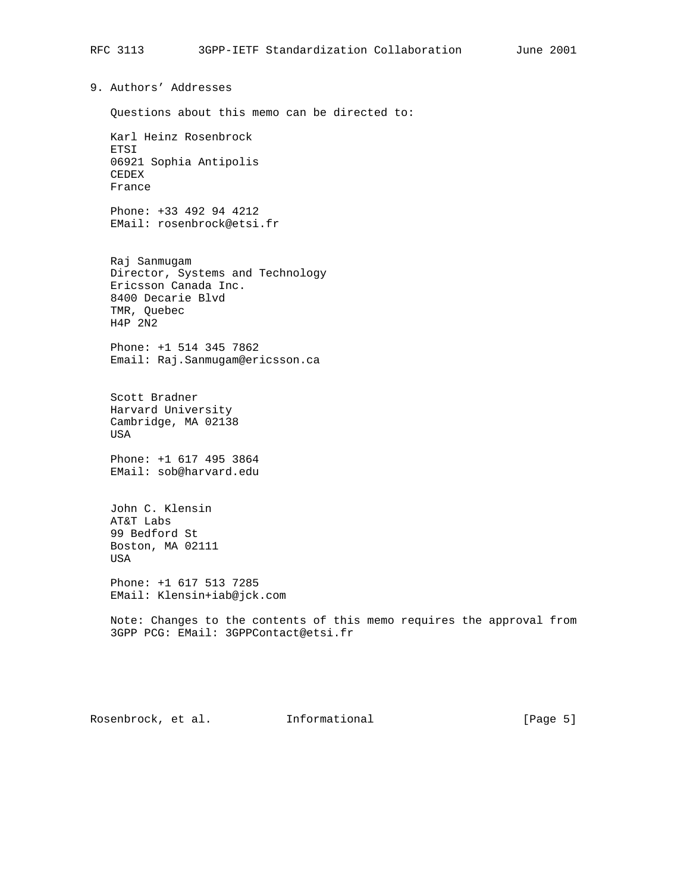9. Authors' Addresses Questions about this memo can be directed to: Karl Heinz Rosenbrock ETSI 06921 Sophia Antipolis CEDEX France Phone: +33 492 94 4212 EMail: rosenbrock@etsi.fr Raj Sanmugam Director, Systems and Technology Ericsson Canada Inc. 8400 Decarie Blvd TMR, Quebec H4P 2N2 Phone: +1 514 345 7862 Email: Raj.Sanmugam@ericsson.ca Scott Bradner

 Harvard University Cambridge, MA 02138 USA

 Phone: +1 617 495 3864 EMail: sob@harvard.edu

 John C. Klensin AT&T Labs 99 Bedford St Boston, MA 02111 USA

 Phone: +1 617 513 7285 EMail: Klensin+iab@jck.com

 Note: Changes to the contents of this memo requires the approval from 3GPP PCG: EMail: 3GPPContact@etsi.fr

Rosenbrock, et al. Informational [Page 5]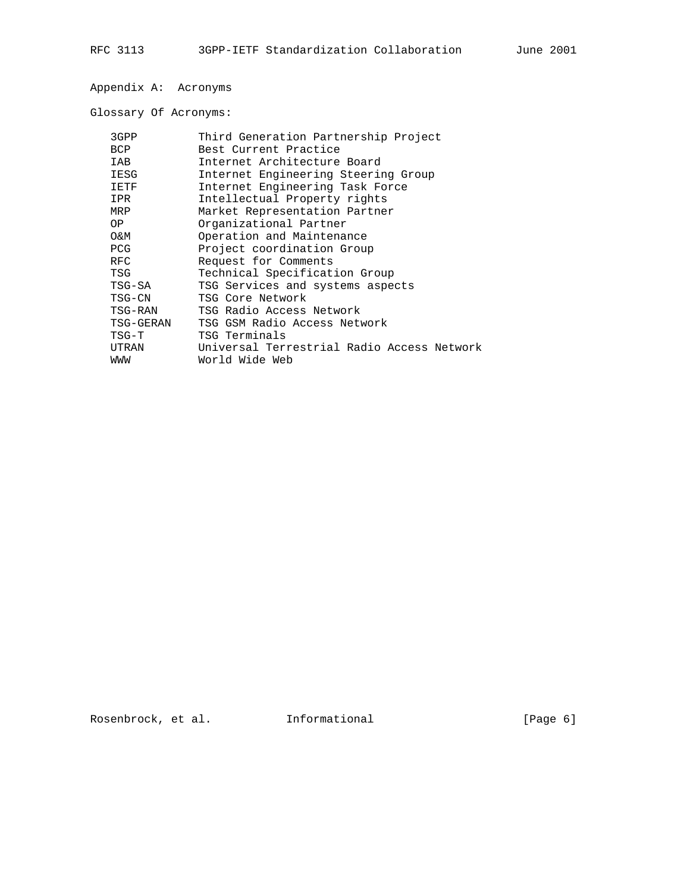Appendix A: Acronyms

Glossary Of Acronyms:

| 3GPP       | Third Generation Partnership Project       |
|------------|--------------------------------------------|
| <b>BCP</b> | Best Current Practice                      |
| IAB        | Internet Architecture Board                |
| IESG       | Internet Engineering Steering Group        |
| IETF       | Internet Engineering Task Force            |
| IPR        | Intellectual Property rights               |
| MRP        | Market Representation Partner              |
| OP.        | Organizational Partner                     |
| 0&M        | Operation and Maintenance                  |
| PCG.       | Project coordination Group                 |
| <b>RFC</b> | Request for Comments                       |
| TSG        | Technical Specification Group              |
| TSG-SA     | TSG Services and systems aspects           |
| TSG-CN     | TSG Core Network                           |
| TSG-RAN    | TSG Radio Access Network                   |
| TSG-GERAN  | TSG GSM Radio Access Network               |
| TSG-T      | TSG Terminals                              |
| UTRAN      | Universal Terrestrial Radio Access Network |
| WWW        | World Wide Web                             |
|            |                                            |